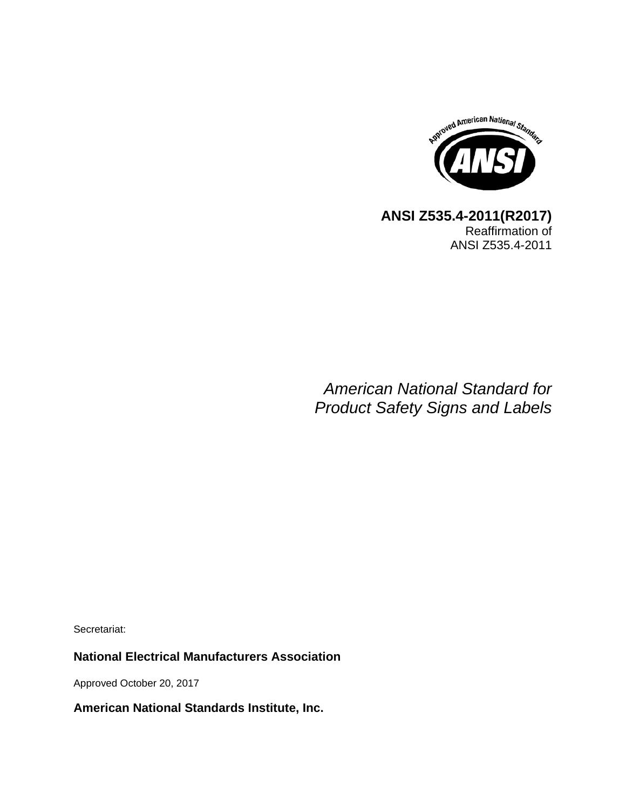

**ANSI Z535.4-2011(R2017)** Reaffirmation of ANSI Z535.4-2011

*American National Standard for Product Safety Signs and Labels*

Secretariat:

**National Electrical Manufacturers Association**

Approved October 20, 2017

**American National Standards Institute, Inc.**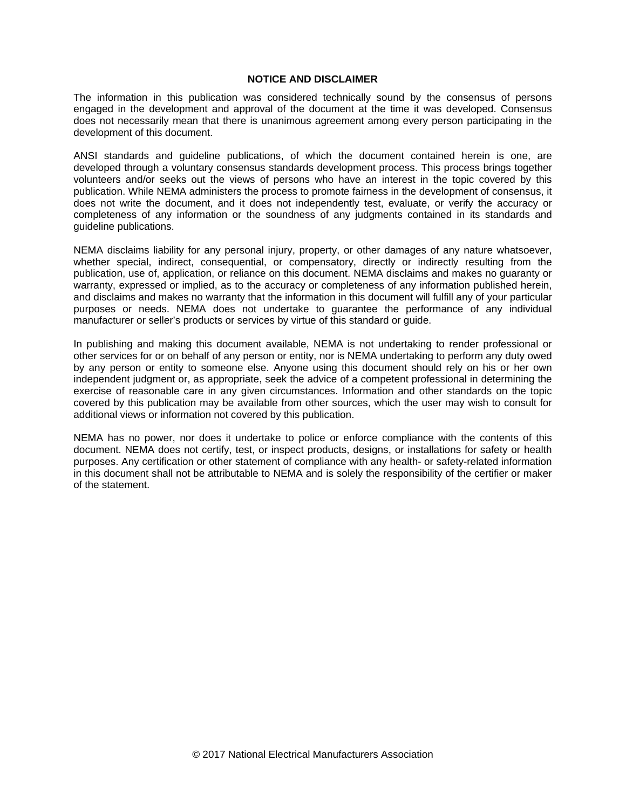#### **NOTICE AND DISCLAIMER**

The information in this publication was considered technically sound by the consensus of persons engaged in the development and approval of the document at the time it was developed. Consensus does not necessarily mean that there is unanimous agreement among every person participating in the development of this document.

ANSI standards and guideline publications, of which the document contained herein is one, are developed through a voluntary consensus standards development process. This process brings together volunteers and/or seeks out the views of persons who have an interest in the topic covered by this publication. While NEMA administers the process to promote fairness in the development of consensus, it does not write the document, and it does not independently test, evaluate, or verify the accuracy or completeness of any information or the soundness of any judgments contained in its standards and guideline publications.

NEMA disclaims liability for any personal injury, property, or other damages of any nature whatsoever, whether special, indirect, consequential, or compensatory, directly or indirectly resulting from the publication, use of, application, or reliance on this document. NEMA disclaims and makes no guaranty or warranty, expressed or implied, as to the accuracy or completeness of any information published herein, and disclaims and makes no warranty that the information in this document will fulfill any of your particular purposes or needs. NEMA does not undertake to guarantee the performance of any individual manufacturer or seller's products or services by virtue of this standard or guide.

In publishing and making this document available, NEMA is not undertaking to render professional or other services for or on behalf of any person or entity, nor is NEMA undertaking to perform any duty owed by any person or entity to someone else. Anyone using this document should rely on his or her own independent judgment or, as appropriate, seek the advice of a competent professional in determining the exercise of reasonable care in any given circumstances. Information and other standards on the topic covered by this publication may be available from other sources, which the user may wish to consult for additional views or information not covered by this publication.

NEMA has no power, nor does it undertake to police or enforce compliance with the contents of this document. NEMA does not certify, test, or inspect products, designs, or installations for safety or health purposes. Any certification or other statement of compliance with any health- or safety-related information in this document shall not be attributable to NEMA and is solely the responsibility of the certifier or maker of the statement.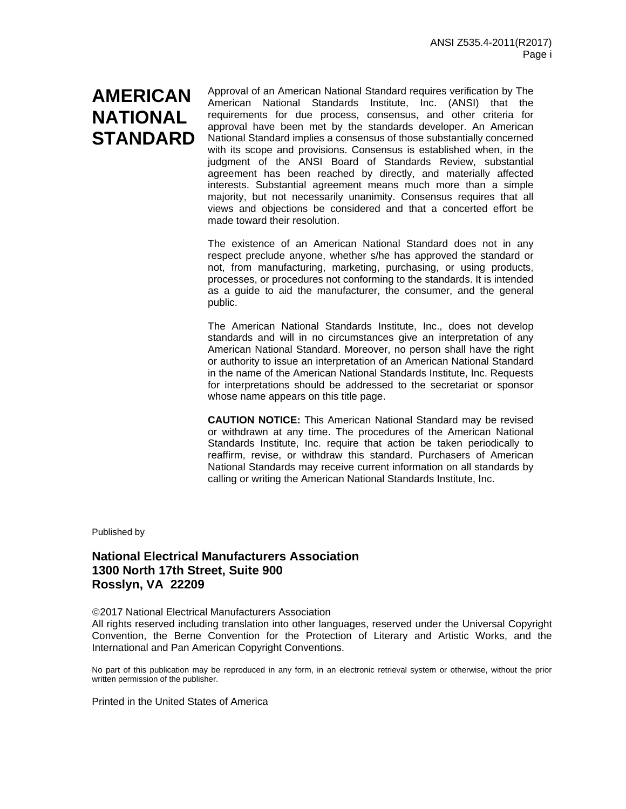# **AMERICAN NATIONAL STANDARD**

Approval of an American National Standard requires verification by The American National Standards Institute, Inc. (ANSI) that the requirements for due process, consensus, and other criteria for approval have been met by the standards developer. An American National Standard implies a consensus of those substantially concerned with its scope and provisions. Consensus is established when, in the judgment of the ANSI Board of Standards Review, substantial agreement has been reached by directly, and materially affected interests. Substantial agreement means much more than a simple majority, but not necessarily unanimity. Consensus requires that all views and objections be considered and that a concerted effort be made toward their resolution.

The existence of an American National Standard does not in any respect preclude anyone, whether s/he has approved the standard or not, from manufacturing, marketing, purchasing, or using products, processes, or procedures not conforming to the standards. It is intended as a guide to aid the manufacturer, the consumer, and the general public.

The American National Standards Institute, Inc., does not develop standards and will in no circumstances give an interpretation of any American National Standard. Moreover, no person shall have the right or authority to issue an interpretation of an American National Standard in the name of the American National Standards Institute, Inc. Requests for interpretations should be addressed to the secretariat or sponsor whose name appears on this title page.

**CAUTION NOTICE:** This American National Standard may be revised or withdrawn at any time. The procedures of the American National Standards Institute, Inc. require that action be taken periodically to reaffirm, revise, or withdraw this standard. Purchasers of American National Standards may receive current information on all standards by calling or writing the American National Standards Institute, Inc.

Published by

#### **National Electrical Manufacturers Association 1300 North 17th Street, Suite 900 Rosslyn, VA 22209**

2017 National Electrical Manufacturers Association

All rights reserved including translation into other languages, reserved under the Universal Copyright Convention, the Berne Convention for the Protection of Literary and Artistic Works, and the International and Pan American Copyright Conventions.

No part of this publication may be reproduced in any form, in an electronic retrieval system or otherwise, without the prior written permission of the publisher.

Printed in the United States of America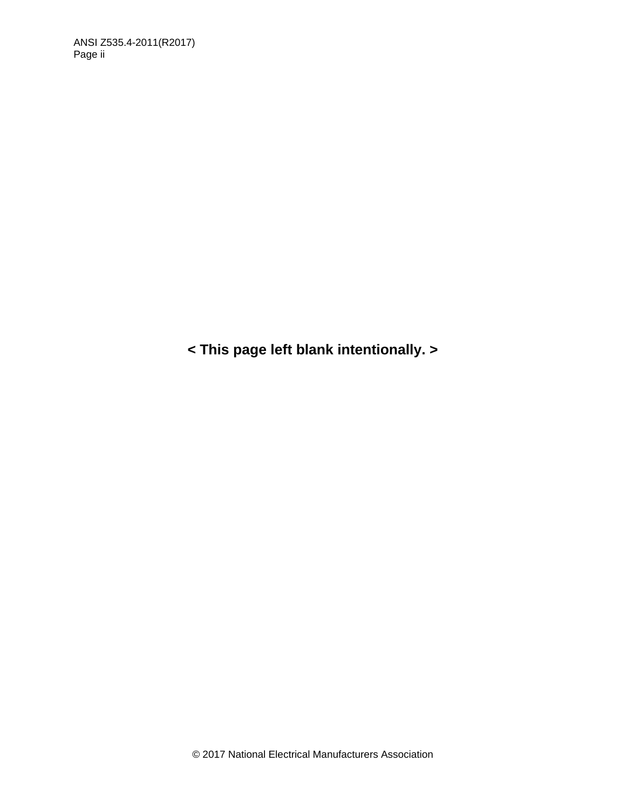**< This page left blank intentionally. >**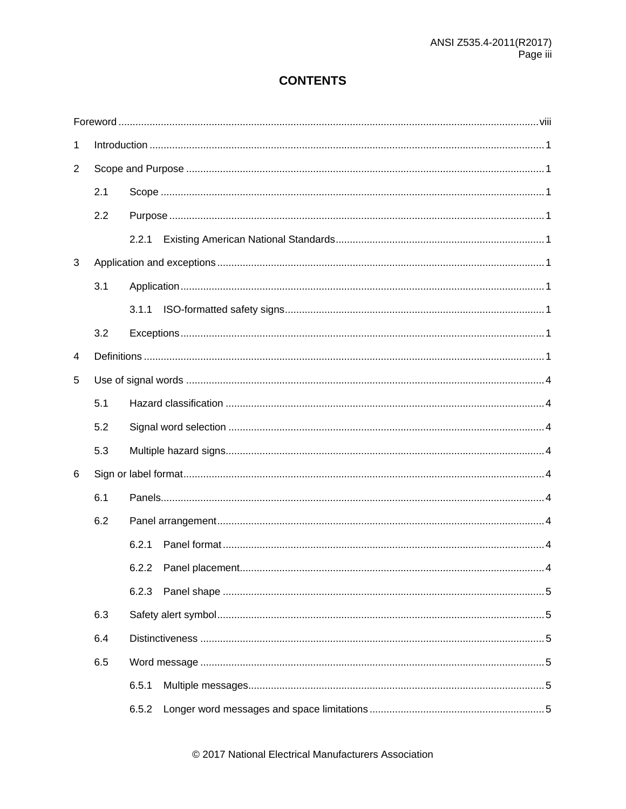## **CONTENTS**

| $\mathbf{1}$   |     |       |  |  |
|----------------|-----|-------|--|--|
| $\overline{2}$ |     |       |  |  |
|                | 2.1 |       |  |  |
|                | 2.2 |       |  |  |
|                |     | 2.2.1 |  |  |
| 3              |     |       |  |  |
|                | 3.1 |       |  |  |
|                |     | 3.1.1 |  |  |
|                | 3.2 |       |  |  |
| 4              |     |       |  |  |
| 5              |     |       |  |  |
|                | 5.1 |       |  |  |
|                | 5.2 |       |  |  |
|                | 5.3 |       |  |  |
| 6              |     |       |  |  |
|                | 6.1 |       |  |  |
|                | 6.2 |       |  |  |
|                |     | 6.2.1 |  |  |
|                |     | 6.2.2 |  |  |
|                |     | 6.2.3 |  |  |
|                | 6.3 |       |  |  |
|                | 6.4 |       |  |  |
|                | 6.5 |       |  |  |
|                |     | 6.5.1 |  |  |
|                |     | 6.5.2 |  |  |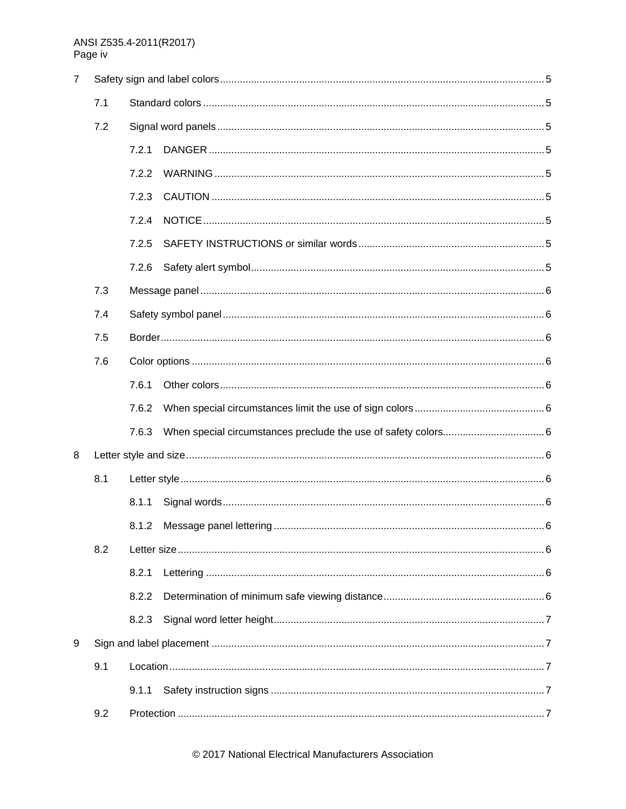| $\overline{7}$ |     |       |  |  |  |
|----------------|-----|-------|--|--|--|
|                | 7.1 |       |  |  |  |
|                | 7.2 |       |  |  |  |
|                |     | 7.2.1 |  |  |  |
|                |     | 7.2.2 |  |  |  |
|                |     | 7.2.3 |  |  |  |
|                |     | 7.2.4 |  |  |  |
|                |     | 7.2.5 |  |  |  |
|                |     | 7.2.6 |  |  |  |
|                | 7.3 |       |  |  |  |
|                | 7.4 |       |  |  |  |
|                | 7.5 |       |  |  |  |
|                | 7.6 |       |  |  |  |
|                |     | 7.6.1 |  |  |  |
|                |     | 7.6.2 |  |  |  |
|                |     | 7.6.3 |  |  |  |
| 8              |     |       |  |  |  |
|                | 8.1 |       |  |  |  |
|                |     | 8.1.1 |  |  |  |
|                |     |       |  |  |  |
|                | 8.2 |       |  |  |  |
|                |     | 8.2.1 |  |  |  |
|                |     | 8.2.2 |  |  |  |
|                |     | 8.2.3 |  |  |  |
| 9              |     |       |  |  |  |
|                | 9.1 |       |  |  |  |
|                |     | 9.1.1 |  |  |  |
|                | 9.2 |       |  |  |  |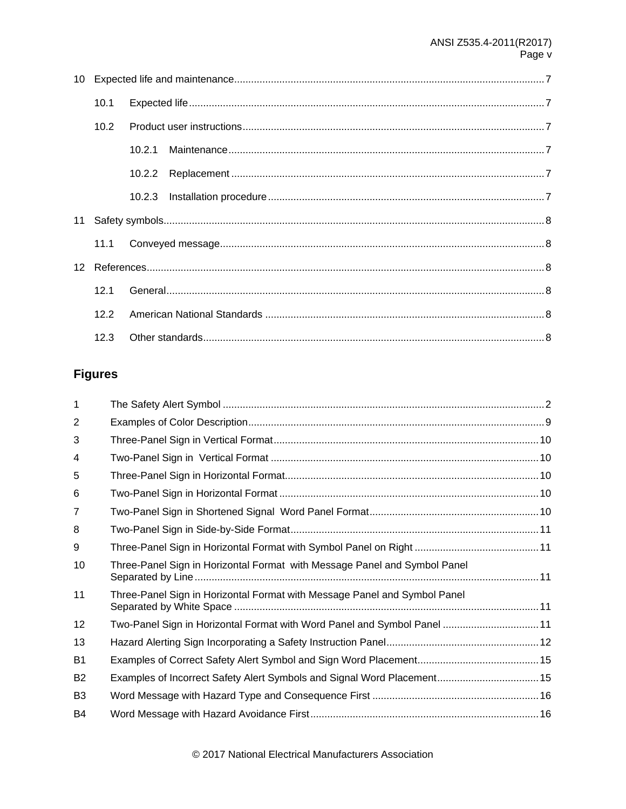|      | 10.1 |  |  |  |
|------|------|--|--|--|
|      | 10.2 |  |  |  |
|      |      |  |  |  |
|      |      |  |  |  |
|      |      |  |  |  |
|      |      |  |  |  |
|      | 11.1 |  |  |  |
|      |      |  |  |  |
|      | 12.1 |  |  |  |
| 12.2 |      |  |  |  |
|      | 12.3 |  |  |  |

## **Figures**

| 1                 |                                                                           |
|-------------------|---------------------------------------------------------------------------|
| $\overline{2}$    |                                                                           |
| 3                 |                                                                           |
| 4                 |                                                                           |
| 5                 |                                                                           |
| 6                 |                                                                           |
| 7                 |                                                                           |
| 8                 |                                                                           |
| 9                 |                                                                           |
| 10                | Three-Panel Sign in Horizontal Format with Message Panel and Symbol Panel |
| 11                | Three-Panel Sign in Horizontal Format with Message Panel and Symbol Panel |
| $12 \overline{ }$ | Two-Panel Sign in Horizontal Format with Word Panel and Symbol Panel  11  |
| 13                |                                                                           |
| <b>B1</b>         |                                                                           |
| <b>B2</b>         | Examples of Incorrect Safety Alert Symbols and Signal Word Placement 15   |
| B <sub>3</sub>    |                                                                           |
| <b>B4</b>         |                                                                           |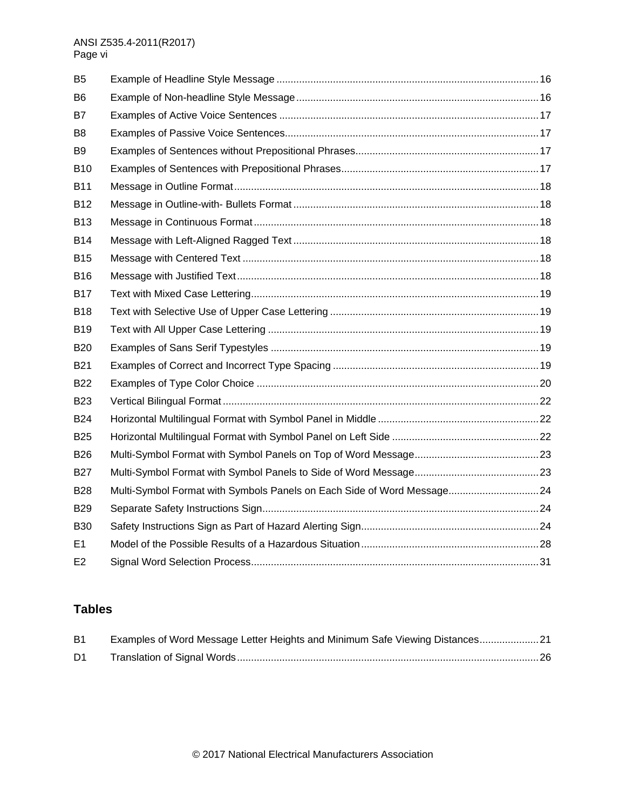| B <sub>5</sub> |                                                                        |  |
|----------------|------------------------------------------------------------------------|--|
| B <sub>6</sub> |                                                                        |  |
| B7             |                                                                        |  |
| B8             |                                                                        |  |
| B9             |                                                                        |  |
| <b>B10</b>     |                                                                        |  |
| <b>B11</b>     |                                                                        |  |
| <b>B12</b>     |                                                                        |  |
| <b>B13</b>     |                                                                        |  |
| <b>B14</b>     |                                                                        |  |
| <b>B15</b>     |                                                                        |  |
| <b>B16</b>     |                                                                        |  |
| <b>B17</b>     |                                                                        |  |
| <b>B18</b>     |                                                                        |  |
| <b>B19</b>     |                                                                        |  |
| <b>B20</b>     |                                                                        |  |
| <b>B21</b>     |                                                                        |  |
| <b>B22</b>     |                                                                        |  |
| <b>B23</b>     |                                                                        |  |
| <b>B24</b>     |                                                                        |  |
| <b>B25</b>     |                                                                        |  |
| <b>B26</b>     |                                                                        |  |
| <b>B27</b>     |                                                                        |  |
| <b>B28</b>     | Multi-Symbol Format with Symbols Panels on Each Side of Word Message24 |  |
| <b>B29</b>     |                                                                        |  |
| <b>B</b> 30    |                                                                        |  |
| E1             |                                                                        |  |
| E <sub>2</sub> |                                                                        |  |

## **Tables**

| <b>B1</b> | Examples of Word Message Letter Heights and Minimum Safe Viewing Distances21 |  |
|-----------|------------------------------------------------------------------------------|--|
| D1        |                                                                              |  |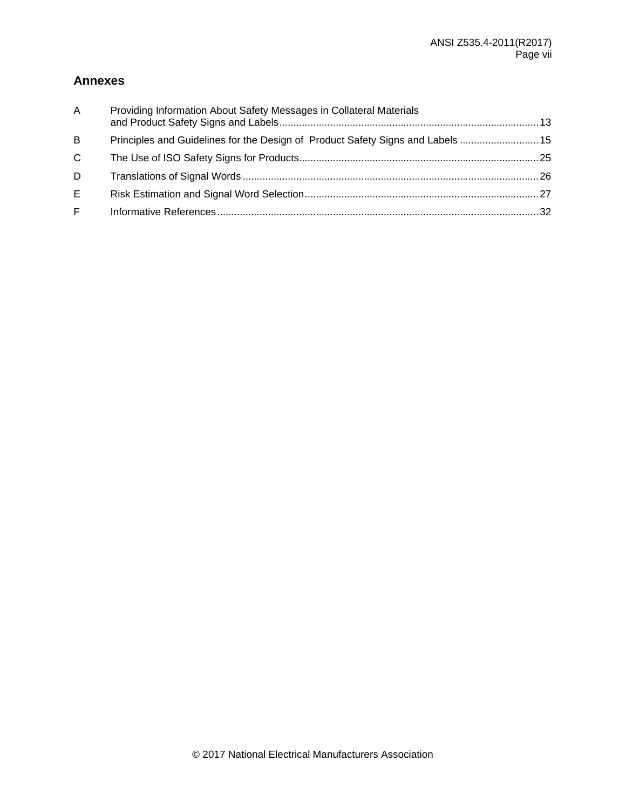### **Annexes**

| $\mathsf{A}$ | Providing Information About Safety Messages in Collateral Materials             |  |
|--------------|---------------------------------------------------------------------------------|--|
| B            | Principles and Guidelines for the Design of Product Safety Signs and Labels  15 |  |
| C            |                                                                                 |  |
| D            |                                                                                 |  |
| E.           |                                                                                 |  |
| F.           |                                                                                 |  |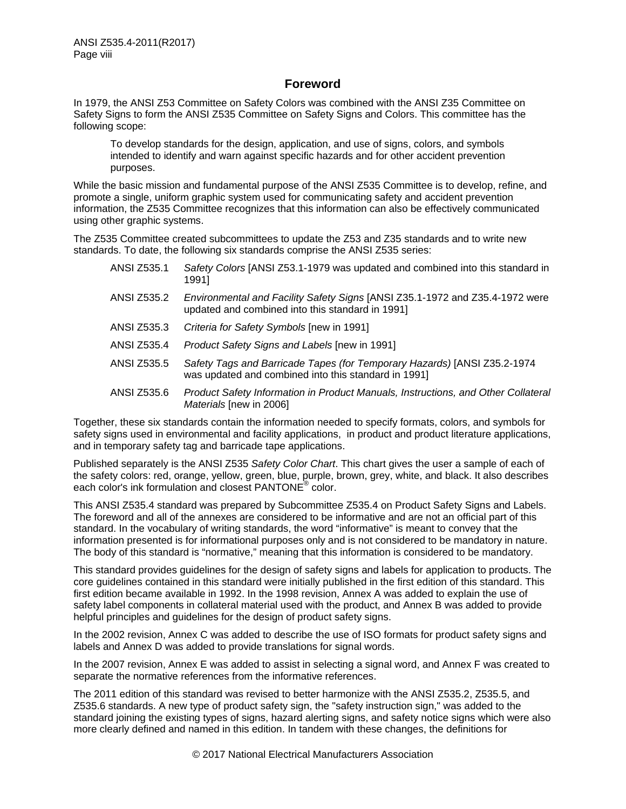#### **Foreword**

<span id="page-9-0"></span>In 1979, the ANSI Z53 Committee on Safety Colors was combined with the ANSI Z35 Committee on Safety Signs to form the ANSI Z535 Committee on Safety Signs and Colors. This committee has the following scope:

To develop standards for the design, application, and use of signs, colors, and symbols intended to identify and warn against specific hazards and for other accident prevention purposes.

While the basic mission and fundamental purpose of the ANSI Z535 Committee is to develop, refine, and promote a single, uniform graphic system used for communicating safety and accident prevention information, the Z535 Committee recognizes that this information can also be effectively communicated using other graphic systems.

The Z535 Committee created subcommittees to update the Z53 and Z35 standards and to write new standards. To date, the following six standards comprise the ANSI Z535 series:

| <b>ANSI Z535.1</b> | Safety Colors [ANSI Z53.1-1979 was updated and combined into this standard in<br>19911                                           |
|--------------------|----------------------------------------------------------------------------------------------------------------------------------|
| ANSI Z535.2        | Environmental and Facility Safety Signs [ANSI Z35.1-1972 and Z35.4-1972 were<br>updated and combined into this standard in 1991] |
| ANSI Z535.3        | Criteria for Safety Symbols [new in 1991]                                                                                        |
| <b>ANSI Z535.4</b> | Product Safety Signs and Labels [new in 1991]                                                                                    |
| <b>ANSI Z535.5</b> | Safety Tags and Barricade Tapes (for Temporary Hazards) [ANSI Z35.2-1974<br>was updated and combined into this standard in 1991] |
| ANSI Z535.6        | Product Safety Information in Product Manuals, Instructions, and Other Collateral<br><i>Materials</i> [new in 2006]              |

Together, these six standards contain the information needed to specify formats, colors, and symbols for safety signs used in environmental and facility applications, in product and product literature applications, and in temporary safety tag and barricade tape applications.

Published separately is the ANSI Z535 *Safety Color Chart*. This chart gives the user a sample of each of the safety colors: red, orange, yellow, green, blue, purple, brown, grey, white, and black. It also describes each color's ink formulation and closest PANTONE® color.

This ANSI Z535.4 standard was prepared by Subcommittee Z535.4 on Product Safety Signs and Labels. The foreword and all of the annexes are considered to be informative and are not an official part of this standard. In the vocabulary of writing standards, the word "informative" is meant to convey that the information presented is for informational purposes only and is not considered to be mandatory in nature. The body of this standard is "normative," meaning that this information is considered to be mandatory.

This standard provides guidelines for the design of safety signs and labels for application to products. The core guidelines contained in this standard were initially published in the first edition of this standard. This first edition became available in 1992. In the 1998 revision, Annex A was added to explain the use of safety label components in collateral material used with the product, and Annex B was added to provide helpful principles and guidelines for the design of product safety signs.

In the 2002 revision, Annex C was added to describe the use of ISO formats for product safety signs and labels and Annex D was added to provide translations for signal words.

In the 2007 revision, Annex E was added to assist in selecting a signal word, and Annex F was created to separate the normative references from the informative references.

The 2011 edition of this standard was revised to better harmonize with the ANSI Z535.2, Z535.5, and Z535.6 standards. A new type of product safety sign, the "safety instruction sign," was added to the standard joining the existing types of signs, hazard alerting signs, and safety notice signs which were also more clearly defined and named in this edition. In tandem with these changes, the definitions for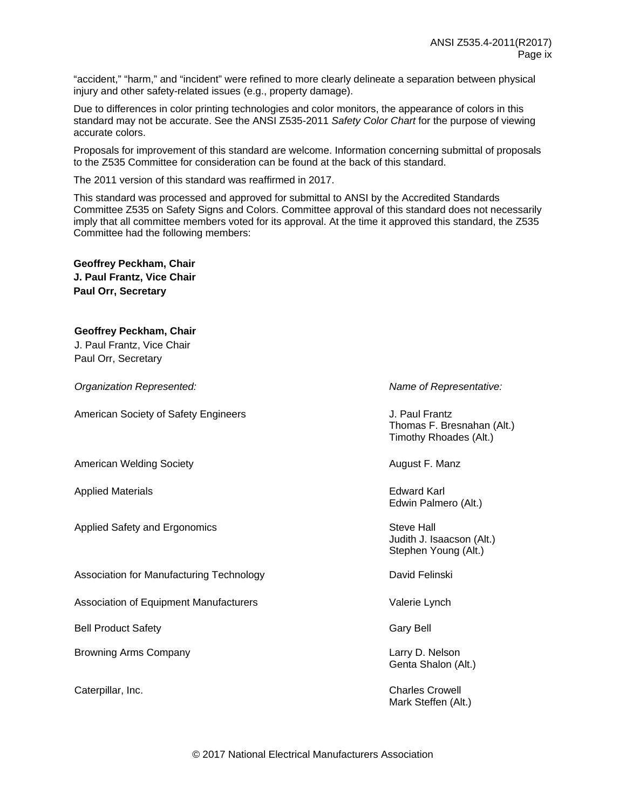"accident," "harm," and "incident" were refined to more clearly delineate a separation between physical injury and other safety-related issues (e.g., property damage).

Due to differences in color printing technologies and color monitors, the appearance of colors in this standard may not be accurate. See the ANSI Z535-2011 *Safety Color Chart* for the purpose of viewing accurate colors.

Proposals for improvement of this standard are welcome. Information concerning submittal of proposals to the Z535 Committee for consideration can be found at the back of this standard.

The 2011 version of this standard was reaffirmed in 2017.

This standard was processed and approved for submittal to ANSI by the Accredited Standards Committee Z535 on Safety Signs and Colors. Committee approval of this standard does not necessarily imply that all committee members voted for its approval. At the time it approved this standard, the Z535 Committee had the following members:

**Geoffrey Peckham, Chair J. Paul Frantz, Vice Chair Paul Orr, Secretary**

#### **Geoffrey Peckham, Chair**

J. Paul Frantz, Vice Chair Paul Orr, Secretary

*Organization Represented: Name of Representative:*

American Society of Safety Engineers **American Society of Safety Engineers** J. Paul Frantz

American Welding Society **August F. Manz** August F. Manz

Applied Materials **Edward Karl** 

Applied Safety and Ergonomics **Steve Hall** Steve Hall

Association for Manufacturing Technology **David Felinski** David Felinski

Association of Equipment Manufacturers **Valerie Lynch** Valerie Lynch

Bell Product Safety Gary Bell and Safety Gary Bell and Safety Gary Bell and Safety Gary Bell

Browning Arms Company Larry D. Nelson

Thomas F. Bresnahan (Alt.) Timothy Rhoades (Alt.)

Edwin Palmero (Alt.)

Judith J. Isaacson (Alt.) Stephen Young (Alt.)

Genta Shalon (Alt.)

Caterpillar, Inc. **Caterpillar, Inc.** Charles Crowell and Charles Crowell and Charles Crowell and Charles Crowell Mark Steffen (Alt.)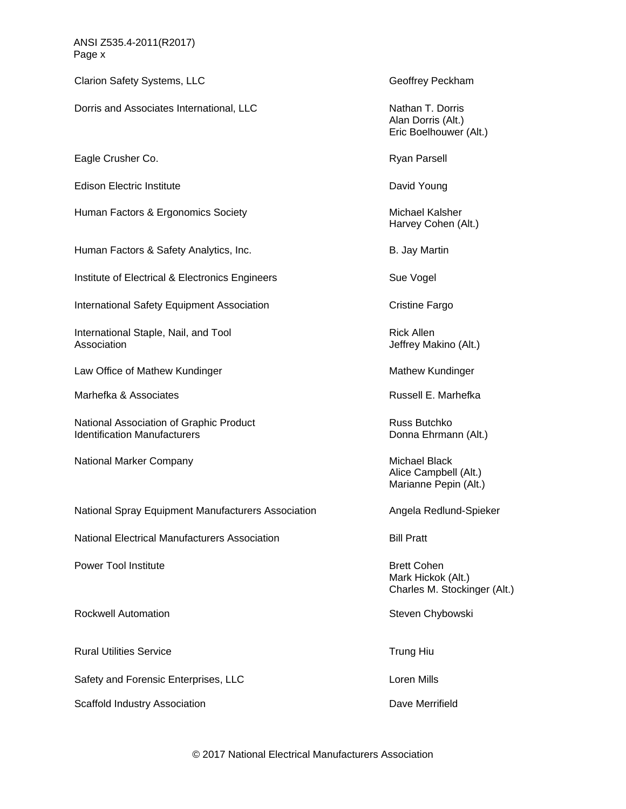ANSI Z535.4-2011(R2017) Page x

Clarion Safety Systems, LLC Geoffrey Peckham

Dorris and Associates International, LLC Nathan T. Dorris

Eagle Crusher Co. **Ryan Parsell** Co. **Ryan Parsell** Crusher Co.

Edison Electric Institute **David Young** 

Human Factors & Ergonomics Society **Michael Kalsher** Michael Kalsher

Human Factors & Safety Analytics, Inc. **B. A. A. A. A. A. A. A. A. B. Jay Martin** 

Institute of Electrical & Electronics Engineers Sue Vogel

International Safety Equipment Association Cristine Fargo

International Staple, Nail, and Tool Association

Law Office of Mathew Kundinger Mathew Kundinger Mathew Kundinger

Marhefka & Associates **Russell E. Marhefka** Associates **Russell E. Marhefka** 

National Association of Graphic Product Identification Manufacturers

National Marker Company Michael Black

National Spray Equipment Manufacturers Association **Angela Redlund-Spieker** 

National Electrical Manufacturers Association **Bill Pratt** 

Power Tool Institute **Brett Cohen** 

Rockwell Automation **Steven Chybowski** Steven Chybowski

Rural Utilities Service **Trung Hiu** 

Safety and Forensic Enterprises, LLC Loren Mills

Scaffold Industry Association **Dave Merrifield** Dave Merrifield

Alan Dorris (Alt.) Eric Boelhouwer (Alt.)

Harvey Cohen (Alt.)

Rick Allen Jeffrey Makino (Alt.)

Russ Butchko Donna Ehrmann (Alt.)

Alice Campbell (Alt.) Marianne Pepin (Alt.)

Mark Hickok (Alt.) Charles M. Stockinger (Alt.)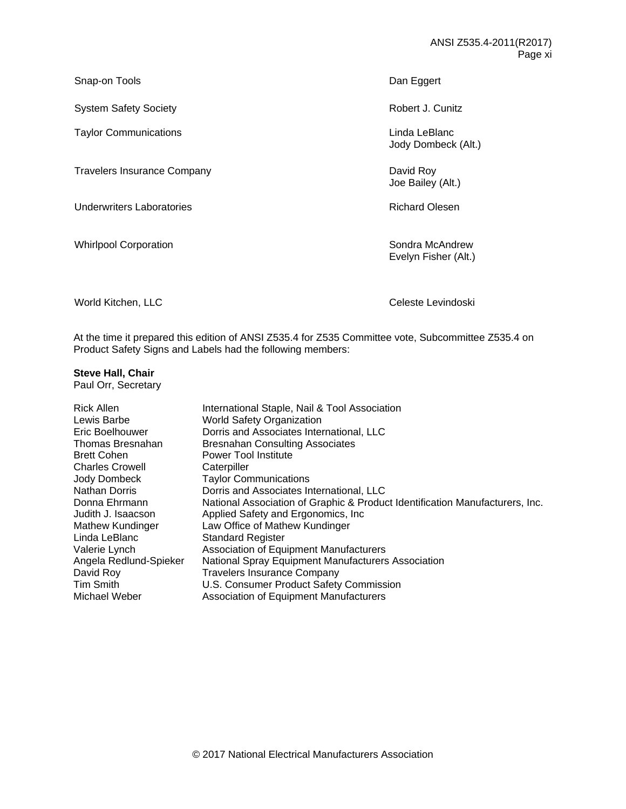Snap-on Tools **Dan Eggert** Dan Eggert

System Safety Society **Robert J. Cunitz** Robert J. Cunitz

Taylor Communications **Linda Leading Communications** 

Travelers Insurance Company David Roy

Underwriters Laboratories **Richard Olesen** Richard Olesen

Whirlpool Corporation **Sondra McAndrew** Sondra McAndrew

Jody Dombeck (Alt.)

Joe Bailey (Alt.)

Evelyn Fisher (Alt.)

World Kitchen, LLC **CELEST CELEST CELEST CELEST CELEST** Celeste Levindoski

At the time it prepared this edition of ANSI Z535.4 for Z535 Committee vote, Subcommittee Z535.4 on Product Safety Signs and Labels had the following members:

#### **Steve Hall, Chair**

Paul Orr, Secretary

| <b>Rick Allen</b>       | International Staple, Nail & Tool Association                                |
|-------------------------|------------------------------------------------------------------------------|
| Lewis Barbe             | <b>World Safety Organization</b>                                             |
| Eric Boelhouwer         | Dorris and Associates International, LLC                                     |
| Thomas Bresnahan        | <b>Bresnahan Consulting Associates</b>                                       |
| <b>Brett Cohen</b>      | <b>Power Tool Institute</b>                                                  |
| <b>Charles Crowell</b>  | Caterpiller                                                                  |
| Jody Dombeck            | <b>Taylor Communications</b>                                                 |
| <b>Nathan Dorris</b>    | Dorris and Associates International, LLC                                     |
| Donna Ehrmann           | National Association of Graphic & Product Identification Manufacturers, Inc. |
| Judith J. Isaacson      | Applied Safety and Ergonomics, Inc.                                          |
| <b>Mathew Kundinger</b> | Law Office of Mathew Kundinger                                               |
| Linda LeBlanc           | <b>Standard Register</b>                                                     |
| Valerie Lynch           | Association of Equipment Manufacturers                                       |
| Angela Redlund-Spieker  | National Spray Equipment Manufacturers Association                           |
| David Roy               | <b>Travelers Insurance Company</b>                                           |
| <b>Tim Smith</b>        | U.S. Consumer Product Safety Commission                                      |
| Michael Weber           | Association of Equipment Manufacturers                                       |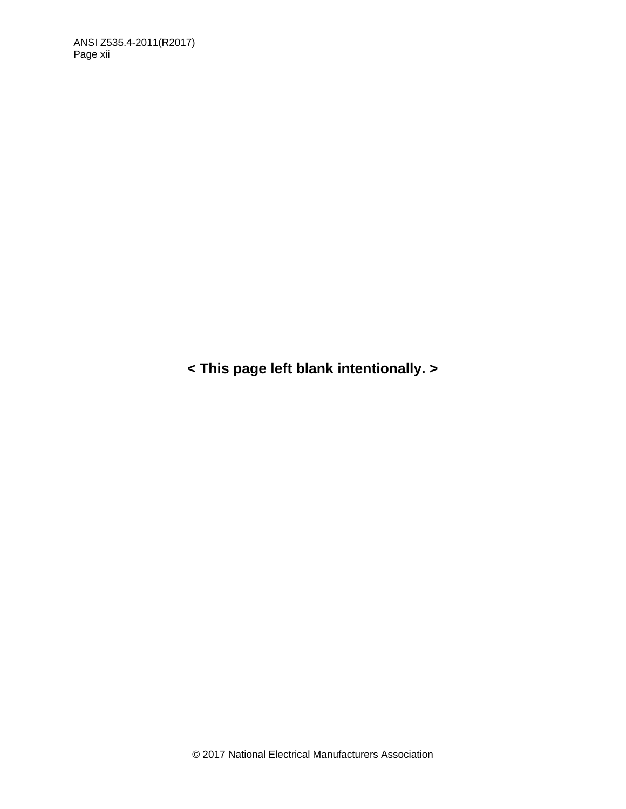**< This page left blank intentionally. >**